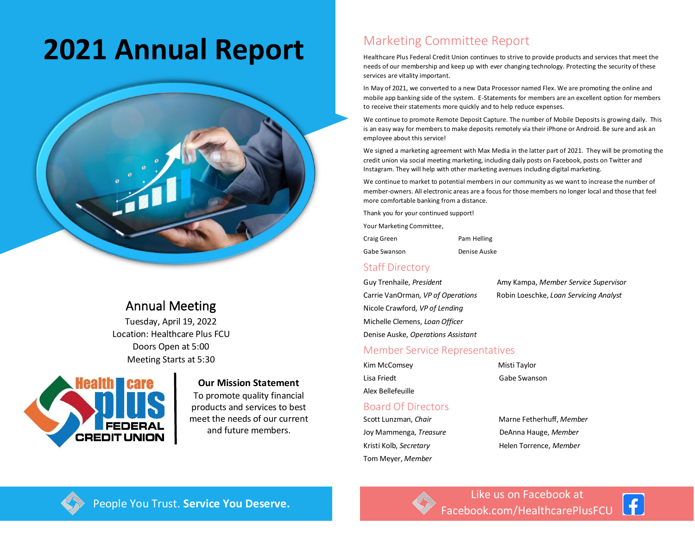# **2021 Annual Report** Marketing Committee Report



# Annual Meeting

Tuesday, April 19, 2022 Location: Healthcare Plus FCU Doors Open at 5:00 Meeting Starts at 5:30



#### **Our Mission Statement**

To promote quality financial products and services to best meet the needs of our current and future members.

Healthcare Plus Federal Credit Union continues to strive to provide products and services that meet the needs of our membership and keep up with ever changing technology. Protecting the security of these services are vitality important.

In May of 2021, we converted to a new Data Processor named Flex. We are promoting the online and mobile app banking side of the system. E-Statements for members are an excellent option for members to receive their statements more quickly and to help reduce expenses.

We continue to promote Remote Deposit Capture. The number of Mobile Deposits is growing daily. This is an easy way for members to make deposits remotely via their iPhone or Android. Be sure and ask an employee about this service!

We signed a marketing agreement with Max Media in the latter part of 2021. They will be promoting the credit union via social meeting marketing, including daily posts on Facebook, posts on Twitter and Instagram. They will help with other marketing avenues including digital marketing.

We continue to market to potential members in our community as we want to increase the number of member-owners. All electronic areas are a focus for those members no longer local and those that feel more comfortable banking from a distance.

Thank you for your continued support!

Your Marketing Committee,

| Craig Green | Pam Helling |
|-------------|-------------|
|             |             |

Gabe Swanson Denise Auske

## Staff Directory

Nicole Crawford, *VP of Lending* Michelle Clemens, *Loan Officer* Denise Auske, *Operations Assistant*

Guy Trenhaile, *President* Amy Kampa, *Member Service Supervisor* Carrie VanOrman, *VP of Operations* Robin Loeschke, *Loan Servicing Analyst*

## Member Service Representatives

| Kim McComsey      | Misti Taylor |
|-------------------|--------------|
| Lisa Friedt       | Gabe Swanson |
| Alex Bellefeuille |              |

#### Board Of Directors

Joy Mammenga, *Treasure* DeAnna Hauge, *Member* Kristi Kolb, *Secretary* Helen Torrence, *Member* Tom Meyer, *Member*

# Scott Lunzman, *Chair* Marne Fetherhuff, *Member*



Like us on Facebook at People You Trust. **Service You Deserve.** The Manual People You Trust. Service You Deserve.

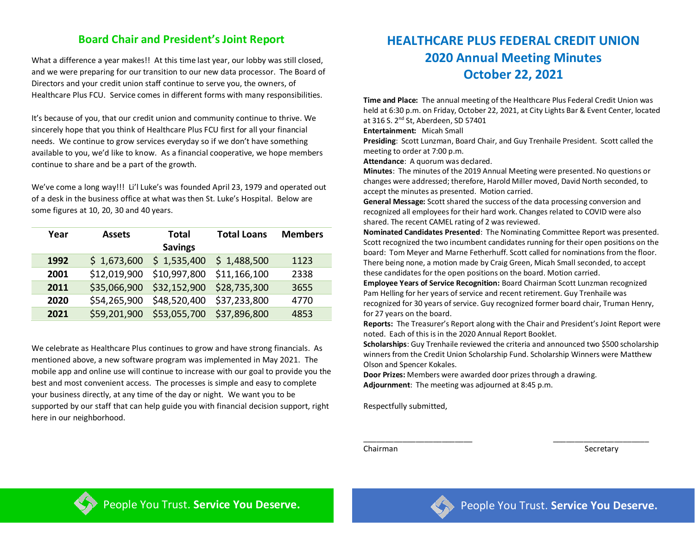# **Board Chair and President's Joint Report**

What a difference a year makes!! At this time last year, our lobby was still closed, and we were preparing for our transition to our new data processor. The Board of Directors and your credit union staff continue to serve you, the owners, of Healthcare Plus FCU. Service comes in different forms with many responsibilities.

It's because of you, that our credit union and community continue to thrive. We sincerely hope that you think of Healthcare Plus FCU first for all your financial needs. We continue to grow services everyday so if we don't have something available to you, we'd like to know. As a financial cooperative, we hope members continue to share and be a part of the growth.

We've come a long way!!! Li'l Luke's was founded April 23, 1979 and operated out of a desk in the business office at what was then St. Luke's Hospital. Below are some figures at 10, 20, 30 and 40 years.

| Year | <b>Assets</b> | <b>Total</b>   | <b>Total Loans</b> | <b>Members</b> |
|------|---------------|----------------|--------------------|----------------|
|      |               | <b>Savings</b> |                    |                |
| 1992 | \$1,673,600   | \$1,535,400    | \$1,488,500        | 1123           |
| 2001 | \$12,019,900  | \$10,997,800   | \$11,166,100       | 2338           |
| 2011 | \$35,066,900  | \$32,152,900   | \$28,735,300       | 3655           |
| 2020 | \$54,265,900  | \$48,520,400   | \$37,233,800       | 4770           |
| 2021 | \$59,201,900  | \$53,055,700   | \$37,896,800       | 4853           |

We celebrate as Healthcare Plus continues to grow and have strong financials. As mentioned above, a new software program was implemented in May 2021. The mobile app and online use will continue to increase with our goal to provide you the best and most convenient access. The processes is simple and easy to complete your business directly, at any time of the day or night. We want you to be supported by our staff that can help guide you with financial decision support, right here in our neighborhood.

# **HEALTHCARE PLUS FEDERAL CREDIT UNION 2020 Annual Meeting Minutes October 22, 2021**

**Time and Place:** The annual meeting of the Healthcare Plus Federal Credit Union was held at 6:30 p.m. on Friday, October 22, 2021, at City Lights Bar & Event Center, located at 316 S. 2nd St, Aberdeen, SD 57401

**Entertainment:** Micah Small

**Presiding**: Scott Lunzman, Board Chair, and Guy Trenhaile President. Scott called the meeting to order at 7:00 p.m.

**Attendance**: A quorum was declared.

**Minutes**: The minutes of the 2019 Annual Meeting were presented. No questions or changes were addressed; therefore, Harold Miller moved, David North seconded, to accept the minutes as presented. Motion carried.

**General Message:** Scott shared the success of the data processing conversion and recognized all employees for their hard work. Changes related to COVID were also shared. The recent CAMEL rating of 2 was reviewed.

**Nominated Candidates Presented**: The Nominating Committee Report was presented. Scott recognized the two incumbent candidates running for their open positions on the board: Tom Meyer and Marne Fetherhuff. Scott called for nominations from the floor. There being none, a motion made by Craig Green, Micah Small seconded, to accept these candidates for the open positions on the board. Motion carried.

**Employee Years of Service Recognition:** Board Chairman Scott Lunzman recognized Pam Helling for her years of service and recent retirement. Guy Trenhaile was recognized for 30 years of service. Guy recognized former board chair, Truman Henry, for 27 years on the board.

**Reports:** The Treasurer's Report along with the Chair and President's Joint Report were noted. Each of this is in the 2020 Annual Report Booklet.

**Scholarships**: Guy Trenhaile reviewed the criteria and announced two \$500 scholarship winners from the Credit Union Scholarship Fund. Scholarship Winners were Matthew Olson and Spencer Kokales.

\_\_\_\_\_\_\_\_\_\_\_\_\_\_\_\_\_\_\_\_\_\_\_\_\_ \_\_\_\_\_\_\_\_\_\_\_\_\_\_\_\_\_\_\_\_\_\_

**Door Prizes:** Members were awarded door prizes through a drawing. **Adjournment**: The meeting was adjourned at 8:45 p.m.

Respectfully submitted,

Chairman Secretary Secretary